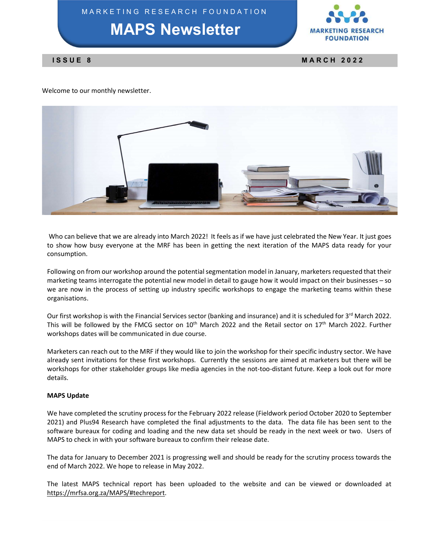MAPS Newsletter



Welcome to our monthly newsletter.



 Who can believe that we are already into March 2022! It feels as if we have just celebrated the New Year. It just goes to show how busy everyone at the MRF has been in getting the next iteration of the MAPS data ready for your consumption.

Following on from our workshop around the potential segmentation model in January, marketers requested that their marketing teams interrogate the potential new model in detail to gauge how it would impact on their businesses – so we are now in the process of setting up industry specific workshops to engage the marketing teams within these organisations.

Our first workshop is with the Financial Services sector (banking and insurance) and it is scheduled for 3<sup>rd</sup> March 2022. This will be followed by the FMCG sector on 10<sup>th</sup> March 2022 and the Retail sector on 17<sup>th</sup> March 2022. Further workshops dates will be communicated in due course.

Marketers can reach out to the MRF if they would like to join the workshop for their specific industry sector. We have already sent invitations for these first workshops. Currently the sessions are aimed at marketers but there will be workshops for other stakeholder groups like media agencies in the not-too-distant future. Keep a look out for more details.

## MAPS Update

We have completed the scrutiny process for the February 2022 release (Fieldwork period October 2020 to September 2021) and Plus94 Research have completed the final adjustments to the data. The data file has been sent to the software bureaux for coding and loading and the new data set should be ready in the next week or two. Users of MAPS to check in with your software bureaux to confirm their release date.

The data for January to December 2021 is progressing well and should be ready for the scrutiny process towards the end of March 2022. We hope to release in May 2022.

The latest MAPS technical report has been uploaded to the website and can be viewed or downloaded at https://mrfsa.org.za/MAPS/#techreport.